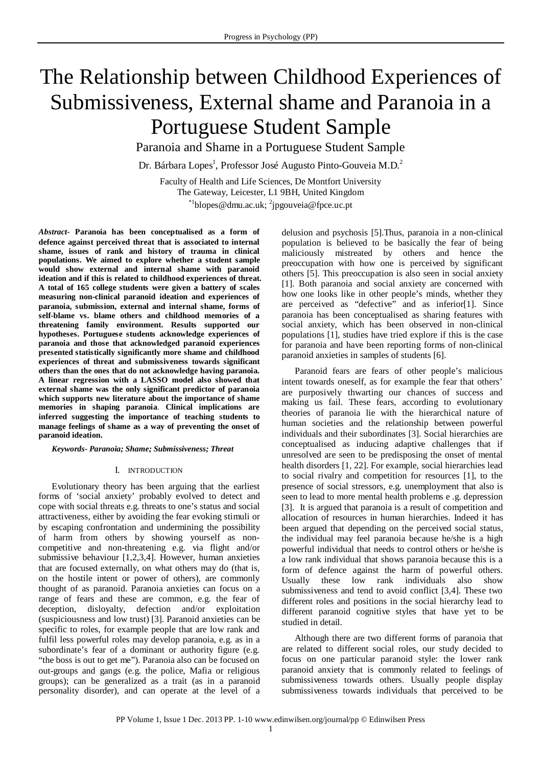# The Relationship between Childhood Experiences of Submissiveness, External shame and Paranoia in a Portuguese Student Sample

Paranoia and Shame in a Portuguese Student Sample

Dr. Bárbara Lopes<sup>1</sup>, Professor José Augusto Pinto-Gouveia M.D.<sup>2</sup>

Faculty of Health and Life Sciences, De Montfort University The Gateway, Leicester, L1 9BH, United Kingdom  $^{*1}$ blopes @dmu.ac.uk; <sup>2</sup>jpgouveia@fpce.uc.pt

*Abstract-* **Paranoia has been conceptualised as a form of defence against perceived threat that is associated to internal shame, issues of rank and history of trauma in clinical populations. We aimed to explore whether a student sample would show external and internal shame with paranoid ideation and if this is related to childhood experiences of threat. A total of 165 college students were given a battery of scales measuring non-clinical paranoid ideation and experiences of paranoia, submission, external and internal shame, forms of self-blame vs. blame others and childhood memories of a threatening family environment. Results supported our hypotheses. Portuguese students acknowledge experiences of paranoia and those that acknowledged paranoid experiences presented statistically significantly more shame and childhood experiences of threat and submissiveness towards significant others than the ones that do not acknowledge having paranoia. A linear regression with a LASSO model also showed that external shame was the only significant predictor of paranoia which supports new literature about the importance of shame memories in shaping paranoia**. **Clinical implications are inferred suggesting the importance of teaching students to manage feelings of shame as a way of preventing the onset of paranoid ideation.**

*Keywords- Paranoia; Shame; Submissiveness; Threat*

#### I. INTRODUCTION

Evolutionary theory has been arguing that the earliest forms of 'social anxiety' probably evolved to detect and cope with social threats e.g. threats to one's status and social attractiveness, either by avoiding the fear evoking stimuli or by escaping confrontation and undermining the possibility of harm from others by showing yourself as noncompetitive and non-threatening e.g. via flight and/or submissive behaviour [1,2,3,4]. However, human anxieties that are focused externally, on what others may do (that is, on the hostile intent or power of others), are commonly thought of as paranoid. Paranoia anxieties can focus on a range of fears and these are common, e.g. the fear of deception, disloyalty, defection and/or exploitation (suspiciousness and low trust) [3]. Paranoid anxieties can be specific to roles, for example people that are low rank and fulfil less powerful roles may develop paranoia, e.g. as in a subordinate's fear of a dominant or authority figure (e.g. "the boss is out to get me"). Paranoia also can be focused on out-groups and gangs (e.g. the police, Mafia or religious groups); can be generalized as a trait (as in a paranoid personality disorder), and can operate at the level of a delusion and psychosis [5].Thus, paranoia in a non-clinical population is believed to be basically the fear of being maliciously mistreated by others and hence the preoccupation with how one is perceived by significant others [5]. This preoccupation is also seen in social anxiety [1]. Both paranoia and social anxiety are concerned with how one looks like in other people's minds, whether they are perceived as "defective" and as inferior[1]. Since paranoia has been conceptualised as sharing features with social anxiety, which has been observed in non-clinical populations [1], studies have tried explore if this is the case for paranoia and have been reporting forms of non-clinical paranoid anxieties in samples of students [6].

Paranoid fears are fears of other people's malicious intent towards oneself, as for example the fear that others' are purposively thwarting our chances of success and making us fail. These fears, according to evolutionary theories of paranoia lie with the hierarchical nature of human societies and the relationship between powerful individuals and their subordinates [3]. Social hierarchies are conceptualised as inducing adaptive challenges that if unresolved are seen to be predisposing the onset of mental health disorders [1, 22]. For example, social hierarchies lead to social rivalry and competition for resources [1], to the presence of social stressors, e.g. unemployment that also is seen to lead to more mental health problems e .g. depression [3]. It is argued that paranoia is a result of competition and allocation of resources in human hierarchies. Indeed it has been argued that depending on the perceived social status, the individual may feel paranoia because he/she is a high powerful individual that needs to control others or he/she is a low rank individual that shows paranoia because this is a form of defence against the harm of powerful others. Usually these low rank individuals also show submissiveness and tend to avoid conflict [3,4]. These two different roles and positions in the social hierarchy lead to different paranoid cognitive styles that have yet to be studied in detail.

Although there are two different forms of paranoia that are related to different social roles, our study decided to focus on one particular paranoid style: the lower rank paranoid anxiety that is commonly related to feelings of submissiveness towards others. Usually people display submissiveness towards individuals that perceived to be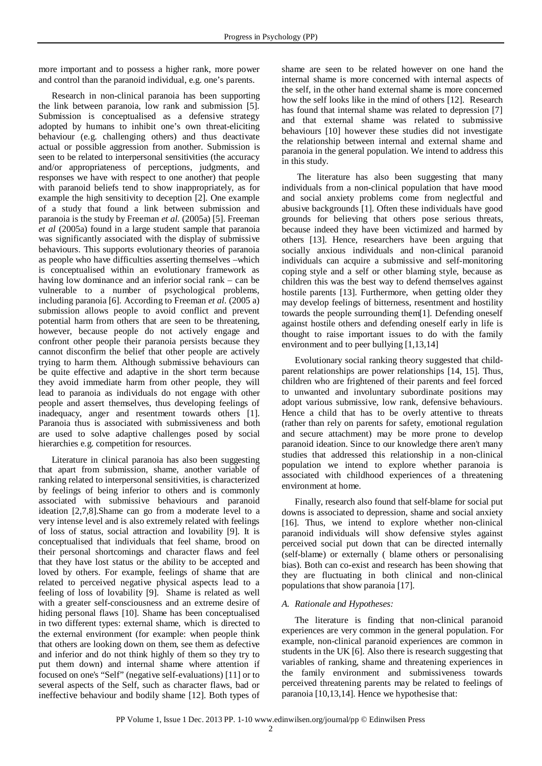more important and to possess a higher rank, more power and control than the paranoid individual, e.g. one's parents.

Research in non-clinical paranoia has been supporting the link between paranoia, low rank and submission [5]. Submission is conceptualised as a defensive strategy adopted by humans to inhibit one's own threat-eliciting behaviour (e.g. challenging others) and thus deactivate actual or possible aggression from another. Submission is seen to be related to interpersonal sensitivities (the accuracy and/or appropriateness of perceptions, judgments, and responses we have with respect to one another) that people with paranoid beliefs tend to show inappropriately, as for example the high sensitivity to deception [2]. One example of a study that found a link between submission and paranoia is the study by Freeman *et al.* (2005a) [5]. Freeman *et al* (2005a) found in a large student sample that paranoia was significantly associated with the display of submissive behaviours. This supports evolutionary theories of paranoia as people who have difficulties asserting themselves –which is conceptualised within an evolutionary framework as having low dominance and an inferior social rank – can be vulnerable to a number of psychological problems, including paranoia [6]. According to Freeman *et al.* (2005 a) submission allows people to avoid conflict and prevent potential harm from others that are seen to be threatening, however, because people do not actively engage and confront other people their paranoia persists because they cannot disconfirm the belief that other people are actively trying to harm them. Although submissive behaviours can be quite effective and adaptive in the short term because they avoid immediate harm from other people, they will lead to paranoia as individuals do not engage with other people and assert themselves, thus developing feelings of inadequacy, anger and resentment towards others [1]. Paranoia thus is associated with submissiveness and both are used to solve adaptive challenges posed by social hierarchies e.g. competition for resources.

Literature in clinical paranoia has also been suggesting that apart from submission, shame, another variable of ranking related to interpersonal sensitivities, is characterized by feelings of being inferior to others and is commonly associated with submissive behaviours and paranoid ideation [2,7,8].Shame can go from a moderate level to a very intense level and is also extremely related with feelings of loss of status, social attraction and lovability [9]. It is conceptualised that individuals that feel shame, brood on their personal shortcomings and character flaws and feel that they have lost status or the ability to be accepted and loved by others. For example, feelings of shame that are related to perceived negative physical aspects lead to a feeling of loss of lovability [9]. Shame is related as well with a greater self-consciousness and an extreme desire of hiding personal flaws [10]. Shame has been conceptualised in two different types: external shame, which is directed to the external environment (for example: when people think that others are looking down on them, see them as defective and inferior and do not think highly of them so they try to put them down) and internal shame where attention if focused on one's "Self" (negative self-evaluations) [11] or to several aspects of the Self, such as character flaws, bad or ineffective behaviour and bodily shame [12]. Both types of

shame are seen to be related however on one hand the internal shame is more concerned with internal aspects of the self, in the other hand external shame is more concerned how the self looks like in the mind of others [12]. Research has found that internal shame was related to depression [7] and that external shame was related to submissive behaviours [10] however these studies did not investigate the relationship between internal and external shame and paranoia in the general population. We intend to address this in this study.

The literature has also been suggesting that many individuals from a non-clinical population that have mood and social anxiety problems come from neglectful and abusive backgrounds [1]. Often these individuals have good grounds for believing that others pose serious threats, because indeed they have been victimized and harmed by others [13]. Hence, researchers have been arguing that socially anxious individuals and non-clinical paranoid individuals can acquire a submissive and self-monitoring coping style and a self or other blaming style, because as children this was the best way to defend themselves against hostile parents [13]. Furthermore, when getting older they may develop feelings of bitterness, resentment and hostility towards the people surrounding them[1]. Defending oneself against hostile others and defending oneself early in life is thought to raise important issues to do with the family environment and to peer bullying [1,13,14]

Evolutionary social ranking theory suggested that childparent relationships are power relationships [14, 15]. Thus, children who are frightened of their parents and feel forced to unwanted and involuntary subordinate positions may adopt various submissive, low rank, defensive behaviours. Hence a child that has to be overly attentive to threats (rather than rely on parents for safety, emotional regulation and secure attachment) may be more prone to develop paranoid ideation. Since to our knowledge there aren't many studies that addressed this relationship in a non-clinical population we intend to explore whether paranoia is associated with childhood experiences of a threatening environment at home.

Finally, research also found that self-blame for social put downs is associated to depression, shame and social anxiety [16]. Thus, we intend to explore whether non-clinical paranoid individuals will show defensive styles against perceived social put down that can be directed internally (self-blame) or externally ( blame others or personalising bias). Both can co-exist and research has been showing that they are fluctuating in both clinical and non-clinical populations that show paranoia [17].

# *A. Rationale and Hypotheses:*

The literature is finding that non-clinical paranoid experiences are very common in the general population. For example, non-clinical paranoid experiences are common in students in the UK [6]. Also there is research suggesting that variables of ranking, shame and threatening experiences in the family environment and submissiveness towards perceived threatening parents may be related to feelings of paranoia [10,13,14]. Hence we hypothesise that: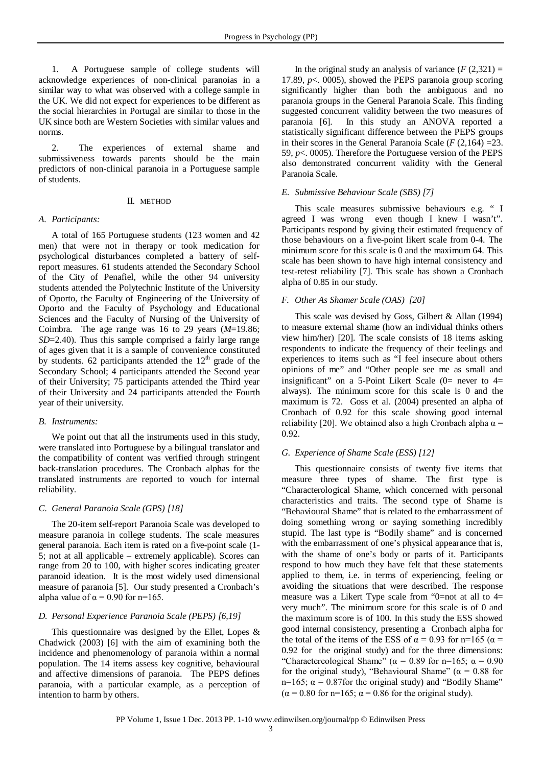1. A Portuguese sample of college students will acknowledge experiences of non-clinical paranoias in a similar way to what was observed with a college sample in the UK. We did not expect for experiences to be different as the social hierarchies in Portugal are similar to those in the UK since both are Western Societies with similar values and norms.

2. The experiences of external shame and submissiveness towards parents should be the main predictors of non-clinical paranoia in a Portuguese sample of students.

#### II. METHOD

### *A. Participants:*

A total of 165 Portuguese students (123 women and 42 men) that were not in therapy or took medication for psychological disturbances completed a battery of selfreport measures. 61 students attended the Secondary School of the City of Penafiel, while the other 94 university students attended the Polytechnic Institute of the University of Oporto, the Faculty of Engineering of the University of Oporto and the Faculty of Psychology and Educational Sciences and the Faculty of Nursing of the University of Coimbra. The age range was 16 to 29 years (*M*=19.86; *SD*=2.40). Thus this sample comprised a fairly large range of ages given that it is a sample of convenience constituted by students. 62 participants attended the  $12<sup>th</sup>$  grade of the Secondary School; 4 participants attended the Second year of their University; 75 participants attended the Third year of their University and 24 participants attended the Fourth year of their university.

#### *B. Instruments:*

We point out that all the instruments used in this study, were translated into Portuguese by a bilingual translator and the compatibility of content was verified through stringent back-translation procedures. The Cronbach alphas for the translated instruments are reported to vouch for internal reliability.

#### *C. General Paranoia Scale (GPS) [18]*

The 20-item self-report Paranoia Scale was developed to measure paranoia in college students. The scale measures general paranoia. Each item is rated on a five-point scale (1- 5; not at all applicable – extremely applicable). Scores can range from 20 to 100, with higher scores indicating greater paranoid ideation. It is the most widely used dimensional measure of paranoia [5]. Our study presented a Cronbach's alpha value of  $\alpha$  = 0.90 for n=165.

### *D. Personal Experience Paranoia Scale (PEPS) [6,19]*

This questionnaire was designed by the Ellet, Lopes & Chadwick (2003) [6] with the aim of examining both the incidence and phenomenology of paranoia within a normal population. The 14 items assess key cognitive, behavioural and affective dimensions of paranoia. The PEPS defines paranoia, with a particular example, as a perception of intention to harm by others.

In the original study an analysis of variance  $(F(2,321)) =$ 17.89, *p*<. 0005), showed the PEPS paranoia group scoring significantly higher than both the ambiguous and no paranoia groups in the General Paranoia Scale. This finding suggested concurrent validity between the two measures of paranoia [6]. In this study an ANOVA reported a statistically significant difference between the PEPS groups in their scores in the General Paranoia Scale  $(F(2,164) = 23$ . 59, *p*<. 0005). Therefore the Portuguese version of the PEPS also demonstrated concurrent validity with the General Paranoia Scale.

### *E. Submissive Behaviour Scale (SBS) [7]*

This scale measures submissive behaviours e.g. " I agreed I was wrong even though I knew I wasn't". Participants respond by giving their estimated frequency of those behaviours on a five-point likert scale from 0-4. The minimum score for this scale is 0 and the maximum 64. This scale has been shown to have high internal consistency and test-retest reliability [7]. This scale has shown a Cronbach alpha of 0.85 in our study.

## *F. Other As Shamer Scale (OAS) [20]*

This scale was devised by Goss, Gilbert & Allan (1994) to measure external shame (how an individual thinks others view him/her) [20]. The scale consists of 18 items asking respondents to indicate the frequency of their feelings and experiences to items such as "I feel insecure about others opinions of me" and "Other people see me as small and insignificant" on a 5-Point Likert Scale  $(0=$  never to  $4=$ always). The minimum score for this scale is 0 and the maximum is 72. Goss et al. (2004) presented an alpha of Cronbach of 0.92 for this scale showing good internal reliability [20]. We obtained also a high Cronbach alpha  $\alpha$  = 0.92.

# *G. Experience of Shame Scale (ESS) [12]*

This questionnaire consists of twenty five items that measure three types of shame. The first type is "Characterological Shame, which concerned with personal characteristics and traits. The second type of Shame is "Behavioural Shame" that is related to the embarrassment of doing something wrong or saying something incredibly stupid. The last type is "Bodily shame" and is concerned with the embarrassment of one's physical appearance that is, with the shame of one's body or parts of it. Participants respond to how much they have felt that these statements applied to them, i.e. in terms of experiencing, feeling or avoiding the situations that were described. The response measure was a Likert Type scale from "0=not at all to  $4=$ very much". The minimum score for this scale is of 0 and the maximum score is of 100. In this study the ESS showed good internal consistency, presenting a Cronbach alpha for the total of the items of the ESS of  $\alpha = 0.93$  for n=165 ( $\alpha =$ 0.92 for the original study) and for the three dimensions: "Charactereological Shame" ( $\alpha$  = 0.89 for n=165;  $\alpha$  = 0.90 for the original study), "Behavioural Shame" ( $\alpha = 0.88$  for n=165;  $\alpha$  = 0.87 for the original study) and "Bodily Shame"  $(\alpha = 0.80$  for n=165;  $\alpha = 0.86$  for the original study).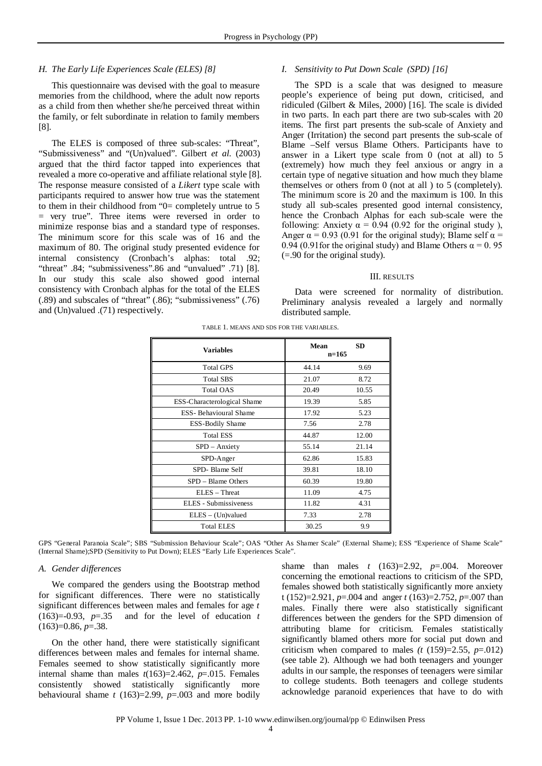## *H. The Early Life Experiences Scale (ELES) [8]*

This questionnaire was devised with the goal to measure memories from the childhood, where the adult now reports as a child from then whether she/he perceived threat within the family, or felt subordinate in relation to family members [8].

The ELES is composed of three sub-scales: "Threat", "Submissiveness" and "(Un)valued". Gilbert *et al.* (2003) argued that the third factor tapped into experiences that revealed a more co-operative and affiliate relational style [8]. The response measure consisted of a *Likert* type scale with participants required to answer how true was the statement to them in their childhood from "0= completely untrue to 5 = very true". Three items were reversed in order to minimize response bias and a standard type of responses. The minimum score for this scale was of 16 and the maximum of 80. The original study presented evidence for internal consistency (Cronbach's alphas: total .92; "threat" .84; "submissiveness".86 and "unvalued" .71) [8]. In our study this scale also showed good internal consistency with Cronbach alphas for the total of the ELES (.89) and subscales of "threat" (.86); "submissiveness" (.76) and (Un)valued .(71) respectively.

## *I. Sensitivity to Put Down Scale (SPD) [16]*

The SPD is a scale that was designed to measure people's experience of being put down, criticised, and ridiculed (Gilbert & Miles, 2000) [16]. The scale is divided in two parts. In each part there are two sub-scales with 20 items. The first part presents the sub-scale of Anxiety and Anger (Irritation) the second part presents the sub-scale of Blame –Self versus Blame Others. Participants have to answer in a Likert type scale from 0 (not at all) to 5 (extremely) how much they feel anxious or angry in a certain type of negative situation and how much they blame themselves or others from 0 (not at all ) to 5 (completely). The minimum score is 20 and the maximum is 100. In this study all sub-scales presented good internal consistency, hence the Cronbach Alphas for each sub-scale were the following: Anxiety  $\alpha = 0.94$  (0.92 for the original study), Anger  $\alpha$  = 0.93 (0.91 for the original study); Blame self  $\alpha$  = 0.94 (0.91 for the original study) and Blame Others  $\alpha = 0.95$ (=.90 for the original study).

## III. RESULTS

Data were screened for normality of distribution. Preliminary analysis revealed a largely and normally distributed sample.

| <b>Variables</b>              | Mean<br>$n=165$ | <b>SD</b> |
|-------------------------------|-----------------|-----------|
| <b>Total GPS</b>              | 44.14           | 9.69      |
| <b>Total SBS</b>              | 21.07           | 8.72      |
| <b>Total OAS</b>              | 20.49           | 10.55     |
| ESS-Characterological Shame   | 19.39           | 5.85      |
| <b>ESS-</b> Behavioural Shame | 17.92           | 5.23      |
| <b>ESS-Bodily Shame</b>       | 7.56            | 2.78      |
| <b>Total ESS</b>              | 44.87           | 12.00     |
| SPD - Anxiety                 | 55.14           | 21.14     |
| SPD-Anger                     | 62.86           | 15.83     |
| SPD- Blame Self               | 39.81           | 18.10     |
| $SPD - Blame Others$          | 60.39           | 19.80     |
| $ELES - Thread$               | 11.09           | 4.75      |
| ELES - Submissiveness         | 11.82           | 4.31      |
| $ELES - (Un)$ valued          | 7.33            | 2.78      |
| <b>Total ELES</b>             | 30.25           | 9.9       |

TABLE 1. MEANS AND SDS FOR THE VARIABLES.

GPS "General Paranoia Scale"; SBS "Submission Behaviour Scale"; OAS "Other As Shamer Scale" (External Shame); ESS "Experience of Shame Scale" (Internal Shame);SPD (Sensitivity to Put Down); ELES "Early Life Experiences Scale".

#### *A. Gender differences*

We compared the genders using the Bootstrap method for significant differences. There were no statistically significant differences between males and females for age *t*   $(163)=0.93$ ,  $p=.35$  and for the level of education *t*  $(163)=0.86, p=.38.$ 

On the other hand, there were statistically significant differences between males and females for internal shame. Females seemed to show statistically significantly more internal shame than males  $t(163)=2.462$ ,  $p=.015$ . Females consistently showed statistically significantly more behavioural shame *t* (163)=2.99, *p*=.003 and more bodily shame than males  $t$  (163)=2.92,  $p=0.004$ . Moreover concerning the emotional reactions to criticism of the SPD, females showed both statistically significantly more anxiety t (152)=2.921, *p*=.004 and anger *t* (163)=2.752, *p*=.007 than males. Finally there were also statistically significant differences between the genders for the SPD dimension of attributing blame for criticism. Females statistically significantly blamed others more for social put down and criticism when compared to males  $(t (159)=2.55, p=.012)$ (see table 2). Although we had both teenagers and younger adults in our sample, the responses of teenagers were similar to college students. Both teenagers and college students acknowledge paranoid experiences that have to do with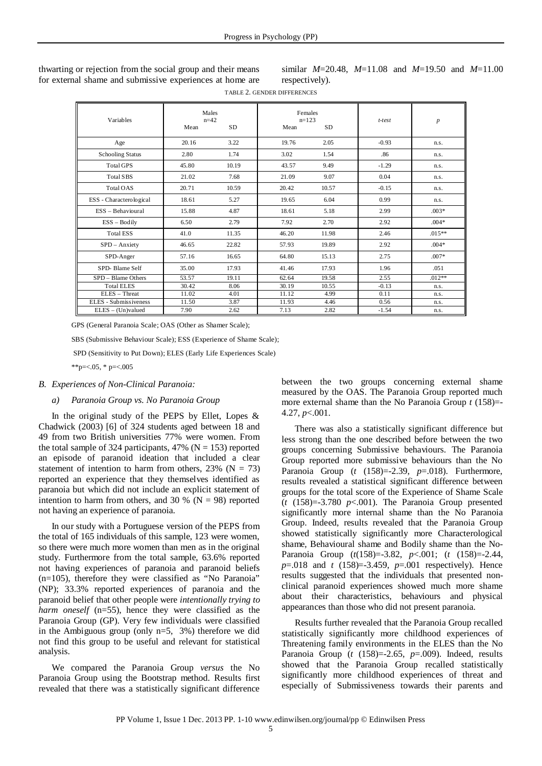thwarting or rejection from the social group and their means for external shame and submissive experiences at home are

similar *M*=20.48, *M*=11.08 and *M*=19.50 and *M*=11.00 respectively).

TABLE 2. GENDER DIFFERENCES

| Variables               | Males<br>$n=42$ |           | Females<br>$n=123$ |           | t-test  | $\boldsymbol{p}$ |
|-------------------------|-----------------|-----------|--------------------|-----------|---------|------------------|
|                         | Mean            | <b>SD</b> | Mean               | <b>SD</b> |         |                  |
| Age                     | 20.16           | 3.22      | 19.76              | 2.05      | $-0.93$ | n.s.             |
| <b>Schooling Status</b> | 2.80            | 1.74      | 3.02               | 1.54      | .86     | n.s.             |
| <b>Total GPS</b>        | 45.80           | 10.19     | 43.57              | 9.49      | $-1.29$ | n.s.             |
| Total SBS               | 21.02           | 7.68      | 21.09              | 9.07      | 0.04    | n.s.             |
| Total OAS               | 20.71           | 10.59     | 20.42              | 10.57     | $-0.15$ | n.s.             |
| ESS - Characterological | 18.61           | 5.27      | 19.65              | 6.04      | 0.99    | n.s.             |
| ESS - Behavioural       | 15.88           | 4.87      | 18.61              | 5.18      | 2.99    | $.003*$          |
| $ESS - Body$            | 6.50            | 2.79      | 7.92               | 2.70      | 2.92    | $.004*$          |
| <b>Total ESS</b>        | 41.0            | 11.35     | 46.20              | 11.98     | 2.46    | $.015**$         |
| SPD - Anxiety           | 46.65           | 22.82     | 57.93              | 19.89     | 2.92    | $.004*$          |
| SPD-Anger               | 57.16           | 16.65     | 64.80              | 15.13     | 2.75    | $.007*$          |
| SPD-Blame Self          | 35.00           | 17.93     | 41.46              | 17.93     | 1.96    | .051             |
| SPD - Blame Others      | 53.57           | 19.11     | 62.64              | 19.58     | 2.55    | $.012**$         |
| <b>Total ELES</b>       | 30.42           | 8.06      | 30.19              | 10.55     | $-0.13$ | n.s.             |
| ELES - Threat           | 11.02           | 4.01      | 11.12              | 4.99      | 0.11    | n.s.             |
| ELES - Submissiveness   | 11.50           | 3.87      | 11.93              | 4.46      | 0.56    | n.s.             |
| $ELES - (Un)$ valued    | 7.90            | 2.62      | 7.13               | 2.82      | $-1.54$ | n.s.             |

GPS (General Paranoia Scale; OAS (Other as Shamer Scale);

SBS (Submissive Behaviour Scale); ESS (Experience of Shame Scale);

SPD (Sensitivity to Put Down); ELES (Early Life Experiences Scale)

\*\*p= $< 0.05$ , \* p= $< 0.005$ 

## *B. Experiences of Non-Clinical Paranoia:*

#### *a) Paranoia Group vs. No Paranoia Group*

In the original study of the PEPS by Ellet, Lopes  $\&$ Chadwick (2003) [6] of 324 students aged between 18 and 49 from two British universities 77% were women. From the total sample of 324 participants, 47% ( $N = 153$ ) reported an episode of paranoid ideation that included a clear statement of intention to harm from others,  $23\%$  (N = 73) reported an experience that they themselves identified as paranoia but which did not include an explicit statement of intention to harm from others, and 30 % ( $N = 98$ ) reported not having an experience of paranoia.

In our study with a Portuguese version of the PEPS from the total of 165 individuals of this sample, 123 were women, so there were much more women than men as in the original study. Furthermore from the total sample, 63.6% reported not having experiences of paranoia and paranoid beliefs (n=105), therefore they were classified as "No Paranoia" (NP); 33.3% reported experiences of paranoia and the paranoid belief that other people were *intentionally trying to harm oneself* (n=55), hence they were classified as the Paranoia Group (GP). Very few individuals were classified in the Ambiguous group (only n=5, 3%) therefore we did not find this group to be useful and relevant for statistical analysis.

We compared the Paranoia Group *versus* the No Paranoia Group using the Bootstrap method. Results first revealed that there was a statistically significant difference

between the two groups concerning external shame measured by the OAS. The Paranoia Group reported much more external shame than the No Paranoia Group *t* (158)=- 4.27, *p*<.001.

There was also a statistically significant difference but less strong than the one described before between the two groups concerning Submissive behaviours. The Paranoia Group reported more submissive behaviours than the No Paranoia Group (*t* (158)=-2.39, *p*=.018). Furthermore, results revealed a statistical significant difference between groups for the total score of the Experience of Shame Scale (*t* (158)=-3.780 *p*<.001). The Paranoia Group presented significantly more internal shame than the No Paranoia Group. Indeed, results revealed that the Paranoia Group showed statistically significantly more Characterological shame, Behavioural shame and Bodily shame than the No-Paranoia Group (*t*(158)=-3.82, *p*<.001; (*t* (158)=-2.44, *p*=.018 and *t* (158)=-3.459, *p*=.001 respectively). Hence results suggested that the individuals that presented nonclinical paranoid experiences showed much more shame about their characteristics, behaviours and physical appearances than those who did not present paranoia.

Results further revealed that the Paranoia Group recalled statistically significantly more childhood experiences of Threatening family environments in the ELES than the No Paranoia Group (*t* (158)=-2.65, *p*=.009). Indeed, results showed that the Paranoia Group recalled statistically significantly more childhood experiences of threat and especially of Submissiveness towards their parents and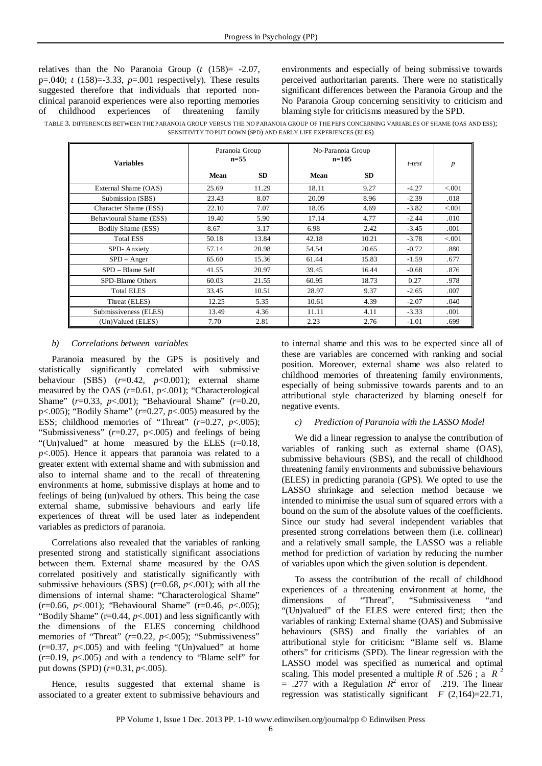relatives than the No Paranoia Group (*t* (158)= -2.07, p=.040; *t* (158)=-3.33, *p*=.001 respectively). These results suggested therefore that individuals that reported nonclinical paranoid experiences were also reporting memories of childhood experiences of threatening family environments and especially of being submissive towards perceived authoritarian parents. There were no statistically significant differences between the Paranoia Group and the No Paranoia Group concerning sensitivity to criticism and blaming style for criticisms measured by the SPD.

TABLE 3. DIFFERENCES BETWEEN THE PARANOIA GROUP VERSUS THE NO PARANOIA GROUP OF THE PEPS CONCERNING VARIABLES OF SHAME (OAS AND ESS); SENSITIVITY TO PUT DOWN (SPD) AND EARLY LIFE EXPERIENCES (ELES)

| <b>Variables</b>        | Paranoia Group<br>$n = 55$ |           | No-Paranoia Group<br>$n=105$ |           | t-test  | p       |
|-------------------------|----------------------------|-----------|------------------------------|-----------|---------|---------|
|                         | Mean                       | <b>SD</b> | Mean                         | <b>SD</b> |         |         |
| External Shame (OAS)    | 25.69                      | 11.29     | 18.11                        | 9.27      | $-4.27$ | < 0.001 |
| Submission (SBS)        | 23.43                      | 8.07      | 20.09                        | 8.96      | $-2.39$ | .018    |
| Character Shame (ESS)   | 22.10                      | 7.07      | 18.05                        | 4.69      | $-3.82$ | < 0.001 |
| Behavioural Shame (ESS) | 19.40                      | 5.90      | 17.14                        | 4.77      | $-2.44$ | .010    |
| Bodily Shame (ESS)      | 8.67                       | 3.17      | 6.98                         | 2.42      | $-3.45$ | .001    |
| <b>Total ESS</b>        | 50.18                      | 13.84     | 42.18                        | 10.21     | $-3.78$ | < 0.001 |
| SPD-Anxiety             | 57.14                      | 20.98     | 54.54                        | 20.65     | $-0.72$ | .880    |
| $SPD - Anger$           | 65.60                      | 15.36     | 61.44                        | 15.83     | $-1.59$ | .677    |
| SPD – Blame Self        | 41.55                      | 20.97     | 39.45                        | 16.44     | $-0.68$ | .876    |
| SPD-Blame Others        | 60.03                      | 21.55     | 60.95                        | 18.73     | 0.27    | .978    |
| <b>Total ELES</b>       | 33.45                      | 10.51     | 28.97                        | 9.37      | $-2.65$ | .007    |
| Threat (ELES)           | 12.25                      | 5.35      | 10.61                        | 4.39      | $-2.07$ | .040    |
| Submissiveness (ELES)   | 13.49                      | 4.36      | 11.11                        | 4.11      | $-3.33$ | .001    |
| (Un)Valued (ELES)       | 7.70                       | 2.81      | 2.23                         | 2.76      | $-1.01$ | .699    |

## *b) Correlations between variables*

Paranoia measured by the GPS is positively and statistically significantly correlated with submissive behaviour (SBS) (*r*=0.42, *p*<0.001); external shame measured by the OAS (*r*=0.61, p<.001); "Characterological Shame" (*r*=0.33, *p*<.001); "Behavioural Shame" (*r*=0.20, p<.005); "Bodily Shame" (*r*=0.27, *p*<.005) measured by the ESS; childhood memories of "Threat" (*r*=0.27, *p*<.005); "Submissiveness" (*r*=0.27, p<.005) and feelings of being "(Un)valued" at home measured by the ELES (r=0.18, *p*<.005). Hence it appears that paranoia was related to a greater extent with external shame and with submission and also to internal shame and to the recall of threatening environments at home, submissive displays at home and to feelings of being (un)valued by others. This being the case external shame, submissive behaviours and early life experiences of threat will be used later as independent variables as predictors of paranoia.

Correlations also revealed that the variables of ranking presented strong and statistically significant associations between them. External shame measured by the OAS correlated positively and statistically significantly with submissive behaviours (SBS) (*r*=0.68, *p*<.001); with all the dimensions of internal shame: "Characterological Shame" (*r*=0.66, *p*<.001); "Behavioural Shame" (r=0.46, *p*<.005); "Bodily Shame"  $(r=0.44, p<0.01)$  and less significantly with the dimensions of the ELES concerning childhood memories of "Threat" (*r*=0.22, *p*<.005); "Submissiveness"  $(r=0.37, p<.005)$  and with feeling "(Un)valued" at home  $(r=0.19, p<.005)$  and with a tendency to "Blame self" for put downs (SPD) (*r*=0.31, *p*<.005).

Hence, results suggested that external shame is associated to a greater extent to submissive behaviours and to internal shame and this was to be expected since all of these are variables are concerned with ranking and social position. Moreover, external shame was also related to childhood memories of threatening family environments, especially of being submissive towards parents and to an attributional style characterized by blaming oneself for negative events.

# *c) Prediction of Paranoia with the LASSO Model*

We did a linear regression to analyse the contribution of variables of ranking such as external shame (OAS), submissive behaviours (SBS), and the recall of childhood threatening family environments and submissive behaviours (ELES) in predicting paranoia (GPS). We opted to use the LASSO shrinkage and selection method because we intended to minimise the usual sum of squared errors with a bound on the sum of the absolute values of the coefficients. Since our study had several independent variables that presented strong correlations between them (i.e. collinear) and a relatively small sample, the LASSO was a reliable method for prediction of variation by reducing the number of variables upon which the given solution is dependent.

To assess the contribution of the recall of childhood experiences of a threatening environment at home, the dimensions of "Threat", "Submissiveness "and dimensions of "Threat", "Submissiveness "and "(Un)valued" of the ELES were entered first; then the variables of ranking: External shame (OAS) and Submissive behaviours (SBS) and finally the variables of an attributional style for criticism: "Blame self vs. Blame others" for criticisms (SPD). The linear regression with the LASSO model was specified as numerical and optimal scaling. This model presented a multiple *R* of .526; a  $R^2$  $= .277$  with a Regulation  $R^2$  error of .219. The linear regression was statistically significant  $F(2,164)=22.71$ ,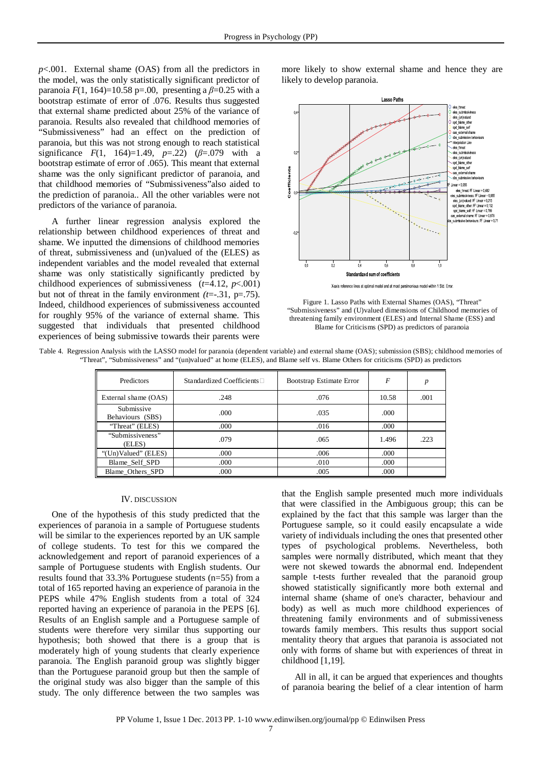*p*<.001. External shame (OAS) from all the predictors in the model, was the only statistically significant predictor of paranoia  $F(1, 164) = 10.58$  p=.00, presenting a  $\beta = 0.25$  with a bootstrap estimate of error of .076. Results thus suggested that external shame predicted about 25% of the variance of paranoia. Results also revealed that childhood memories of "Submissiveness" had an effect on the prediction of paranoia, but this was not strong enough to reach statistical significance  $F(1, 164)=1.49, p=.22$ ) ( $\beta=.079$  with a bootstrap estimate of error of .065). This meant that external shame was the only significant predictor of paranoia, and that childhood memories of "Submissiveness"also aided to the prediction of paranoia.. All the other variables were not predictors of the variance of paranoia.

A further linear regression analysis explored the relationship between childhood experiences of threat and shame. We inputted the dimensions of childhood memories of threat, submissiveness and (un)valued of the (ELES) as independent variables and the model revealed that external shame was only statistically significantly predicted by childhood experiences of submissiveness  $(t=4.12, p<.001)$ but not of threat in the family environment *(t*=-.31, p=.75). Indeed, childhood experiences of submissiveness accounted for roughly 95% of the variance of external shame. This suggested that individuals that presented childhood experiences of being submissive towards their parents were

more likely to show external shame and hence they are likely to develop paranoia.



Figure 1. Lasso Paths with External Shames (OAS), "Threat" "Submissiveness" and (U)valued dimensions of Childhood memories of threatening family environment (ELES) and Internal Shame (ESS) and Blame for Criticisms (SPD) as predictors of paranoia

| Table 4. Regression Analysis with the LASSO model for paranoia (dependent variable) and external shame (OAS); submission (SBS); childhood memories of |  |
|-------------------------------------------------------------------------------------------------------------------------------------------------------|--|
| "Threat", "Submissiveness" and "(un)valued" at home (ELES), and Blame self vs. Blame Others for criticisms (SPD) as predictors                        |  |

| Predictors                     | Standardized Coefficients $\Box$ | Bootstrap Estimate Error | F     | p    |
|--------------------------------|----------------------------------|--------------------------|-------|------|
| External shame (OAS)           | .248                             | .076                     | 10.58 | .001 |
| Submissive<br>Behaviours (SBS) | .000                             | .035                     | .000  |      |
| "Threat" (ELES)                | .000                             | .016                     | .000  |      |
| "Submissiveness"<br>(ELES)     | .079                             | .065                     | 1.496 | .223 |
| "(Un)Valued" (ELES)            | .000                             | .006                     | .000  |      |
| Blame_Self_SPD                 | .000                             | .010                     | .000  |      |
| Blame Others SPD               | .000                             | .005                     | .000  |      |

#### IV. DISCUSSION

One of the hypothesis of this study predicted that the experiences of paranoia in a sample of Portuguese students will be similar to the experiences reported by an UK sample of college students. To test for this we compared the acknowledgement and report of paranoid experiences of a sample of Portuguese students with English students. Our results found that 33.3% Portuguese students (n=55) from a total of 165 reported having an experience of paranoia in the PEPS while 47% English students from a total of 324 reported having an experience of paranoia in the PEPS [6]. Results of an English sample and a Portuguese sample of students were therefore very similar thus supporting our hypothesis; both showed that there is a group that is moderately high of young students that clearly experience paranoia. The English paranoid group was slightly bigger than the Portuguese paranoid group but then the sample of the original study was also bigger than the sample of this study. The only difference between the two samples was

that the English sample presented much more individuals that were classified in the Ambiguous group; this can be explained by the fact that this sample was larger than the Portuguese sample, so it could easily encapsulate a wide variety of individuals including the ones that presented other types of psychological problems. Nevertheless, both samples were normally distributed, which meant that they were not skewed towards the abnormal end. Independent sample t-tests further revealed that the paranoid group showed statistically significantly more both external and internal shame (shame of one's character, behaviour and body) as well as much more childhood experiences of threatening family environments and of submissiveness towards family members. This results thus support social mentality theory that argues that paranoia is associated not only with forms of shame but with experiences of threat in childhood [1,19].

All in all, it can be argued that experiences and thoughts of paranoia bearing the belief of a clear intention of harm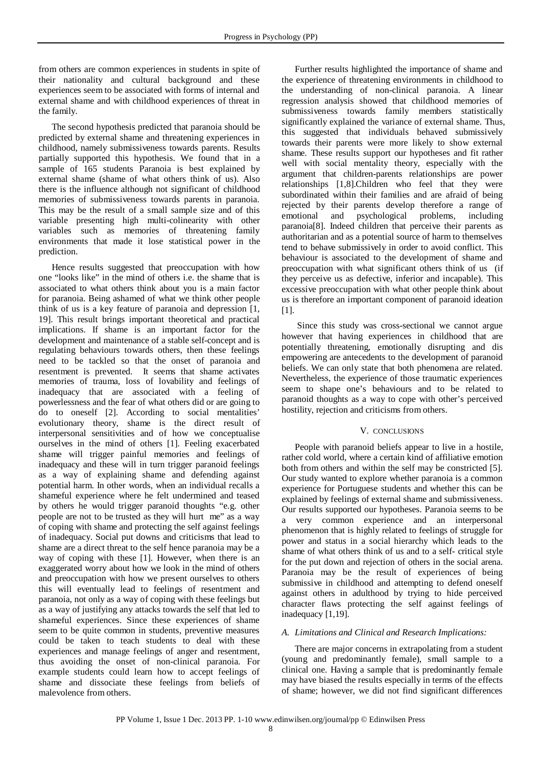from others are common experiences in students in spite of their nationality and cultural background and these experiences seem to be associated with forms of internal and external shame and with childhood experiences of threat in the family.

The second hypothesis predicted that paranoia should be predicted by external shame and threatening experiences in childhood, namely submissiveness towards parents. Results partially supported this hypothesis. We found that in a sample of 165 students Paranoia is best explained by external shame (shame of what others think of us). Also there is the influence although not significant of childhood memories of submissiveness towards parents in paranoia. This may be the result of a small sample size and of this variable presenting high multi-colinearity with other variables such as memories of threatening family environments that made it lose statistical power in the prediction.

Hence results suggested that preoccupation with how one "looks like" in the mind of others i.e. the shame that is associated to what others think about you is a main factor for paranoia. Being ashamed of what we think other people think of us is a key feature of paranoia and depression [1, 19]. This result brings important theoretical and practical implications. If shame is an important factor for the development and maintenance of a stable self-concept and is regulating behaviours towards others, then these feelings need to be tackled so that the onset of paranoia and resentment is prevented. It seems that shame activates memories of trauma, loss of lovability and feelings of inadequacy that are associated with a feeling of powerlessness and the fear of what others did or are going to do to oneself [2]. According to social mentalities' evolutionary theory, shame is the direct result of interpersonal sensitivities and of how we conceptualise ourselves in the mind of others [1]. Feeling exacerbated shame will trigger painful memories and feelings of inadequacy and these will in turn trigger paranoid feelings as a way of explaining shame and defending against potential harm. In other words, when an individual recalls a shameful experience where he felt undermined and teased by others he would trigger paranoid thoughts "e.g. other people are not to be trusted as they will hurt me" as a way of coping with shame and protecting the self against feelings of inadequacy. Social put downs and criticisms that lead to shame are a direct threat to the self hence paranoia may be a way of coping with these [1]. However, when there is an exaggerated worry about how we look in the mind of others and preoccupation with how we present ourselves to others this will eventually lead to feelings of resentment and paranoia, not only as a way of coping with these feelings but as a way of justifying any attacks towards the self that led to shameful experiences. Since these experiences of shame seem to be quite common in students, preventive measures could be taken to teach students to deal with these experiences and manage feelings of anger and resentment, thus avoiding the onset of non-clinical paranoia. For example students could learn how to accept feelings of shame and dissociate these feelings from beliefs of malevolence from others.

Further results highlighted the importance of shame and the experience of threatening environments in childhood to the understanding of non-clinical paranoia. A linear regression analysis showed that childhood memories of submissiveness towards family members statistically significantly explained the variance of external shame. Thus, this suggested that individuals behaved submissively towards their parents were more likely to show external shame. These results support our hypotheses and fit rather well with social mentality theory, especially with the argument that children-parents relationships are power relationships [1,8].Children who feel that they were subordinated within their families and are afraid of being rejected by their parents develop therefore a range of emotional and psychological problems, including paranoia[8]. Indeed children that perceive their parents as authoritarian and as a potential source of harm to themselves tend to behave submissively in order to avoid conflict. This behaviour is associated to the development of shame and preoccupation with what significant others think of us (if they perceive us as defective, inferior and incapable). This excessive preoccupation with what other people think about us is therefore an important component of paranoid ideation [1].

Since this study was cross-sectional we cannot argue however that having experiences in childhood that are potentially threatening, emotionally disrupting and dis empowering are antecedents to the development of paranoid beliefs. We can only state that both phenomena are related. Nevertheless, the experience of those traumatic experiences seem to shape one's behaviours and to be related to paranoid thoughts as a way to cope with other's perceived hostility, rejection and criticisms from others.

#### V. CONCLUSIONS

People with paranoid beliefs appear to live in a hostile, rather cold world, where a certain kind of affiliative emotion both from others and within the self may be constricted [5]. Our study wanted to explore whether paranoia is a common experience for Portuguese students and whether this can be explained by feelings of external shame and submissiveness. Our results supported our hypotheses. Paranoia seems to be a very common experience and an interpersonal phenomenon that is highly related to feelings of struggle for power and status in a social hierarchy which leads to the shame of what others think of us and to a self- critical style for the put down and rejection of others in the social arena. Paranoia may be the result of experiences of being submissive in childhood and attempting to defend oneself against others in adulthood by trying to hide perceived character flaws protecting the self against feelings of inadequacy [1,19].

## *A. Limitations and Clinical and Research Implications:*

There are major concerns in extrapolating from a student (young and predominantly female), small sample to a clinical one. Having a sample that is predominantly female may have biased the results especially in terms of the effects of shame; however, we did not find significant differences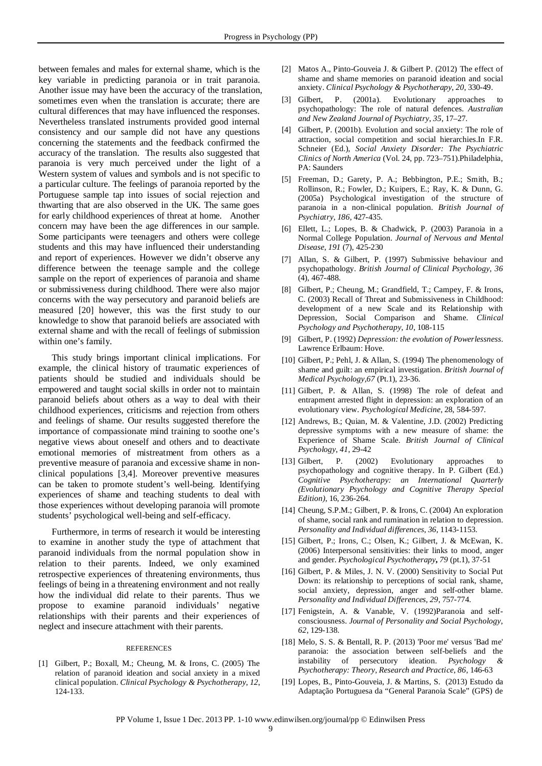between females and males for external shame, which is the key variable in predicting paranoia or in trait paranoia. Another issue may have been the accuracy of the translation, sometimes even when the translation is accurate; there are cultural differences that may have influenced the responses. Nevertheless translated instruments provided good internal consistency and our sample did not have any questions concerning the statements and the feedback confirmed the accuracy of the translation. The results also suggested that paranoia is very much perceived under the light of a Western system of values and symbols and is not specific to a particular culture. The feelings of paranoia reported by the Portuguese sample tap into issues of social rejection and thwarting that are also observed in the UK. The same goes for early childhood experiences of threat at home. Another concern may have been the age differences in our sample. Some participants were teenagers and others were college students and this may have influenced their understanding and report of experiences. However we didn't observe any difference between the teenage sample and the college sample on the report of experiences of paranoia and shame or submissiveness during childhood. There were also major concerns with the way persecutory and paranoid beliefs are measured [20] however, this was the first study to our knowledge to show that paranoid beliefs are associated with external shame and with the recall of feelings of submission within one's family.

This study brings important clinical implications. For example, the clinical history of traumatic experiences of patients should be studied and individuals should be empowered and taught social skills in order not to maintain paranoid beliefs about others as a way to deal with their childhood experiences, criticisms and rejection from others and feelings of shame. Our results suggested therefore the importance of compassionate mind training to soothe one's negative views about oneself and others and to deactivate emotional memories of mistreatment from others as a preventive measure of paranoia and excessive shame in nonclinical populations [3,4]. Moreover preventive measures can be taken to promote student's well-being. Identifying experiences of shame and teaching students to deal with those experiences without developing paranoia will promote students' psychological well-being and self-efficacy.

Furthermore, in terms of research it would be interesting to examine in another study the type of attachment that paranoid individuals from the normal population show in relation to their parents. Indeed, we only examined retrospective experiences of threatening environments, thus feelings of being in a threatening environment and not really how the individual did relate to their parents. Thus we propose to examine paranoid individuals' negative relationships with their parents and their experiences of neglect and insecure attachment with their parents.

#### REFERENCES

[1] Gilbert, P.; Boxall, M.; Cheung, M. & Irons, C. (2005) The relation of paranoid ideation and social anxiety in a mixed clinical population. *Clinical Psychology & Psychotherapy*, *12*, 124-133.

- [2] Matos A., Pinto-Gouveia J. & Gilbert P. (2012) The effect of shame and shame memories on paranoid ideation and social anxiety. *Clinical Psychology & Psychotherapy*, *20*, 330-49.
- [3] Gilbert, P. (2001a). Evolutionary approaches to psychopathology: The role of natural defences. *Australian and New Zealand Journal of Psychiatry*, *35*, 17–27.
- [4] Gilbert, P. (2001b). Evolution and social anxiety: The role of attraction, social competition and social hierarchies.In F.R. Schneier (Ed.), *Social Anxiety Disorder: The Psychiatric Clinics of North America* (Vol. 24, pp. 723–751).Philadelphia, PA: Saunders
- [5] Freeman, D.; Garety, P. A.; Bebbington, P.E.; Smith, B.; Rollinson, R.; Fowler, D.; Kuipers, E.; Ray, K. & Dunn, G. (2005a) Psychological investigation of the structure of paranoia in a non-clinical population. *British Journal of Psychiatry*, *186,* 427-435.
- [6] Ellett, L.; Lopes, B. & Chadwick, P. (2003) Paranoia in a Normal College Population. *Journal of Nervous and Mental Disease*, *191* (7), 425-230
- [7] Allan, S. & Gilbert, P. (1997) Submissive behaviour and psychopathology. *British Journal of Clinical Psychology*, *36* (4), 467-488.
- [8] Gilbert, P.; Cheung, M.; Grandfield, T.; Campey, F. & Irons, C. (2003) Recall of Threat and Submissiveness in Childhood: development of a new Scale and its Relationship with Depression, Social Comparison and Shame. *Clinical Psychology and Psychotherapy*, *10*, 108-115
- [9] Gilbert, P. (1992) *Depression: the evolution of Powerlessness*. Lawrence Erlbaum: Hove.
- [10] Gilbert, P.; Pehl, J. & Allan, S. (1994) The phenomenology of shame and guilt: an empirical investigation. *British Journal of Medical Psychology,67* (Pt.1), 23-36.
- [11] Gilbert, P. & Allan, S. (1998) The role of defeat and entrapment arrested flight in depression: an exploration of an evolutionary view. *Psychological Medicine*, 28, 584-597.
- [12] Andrews, B.; Quian, M. & Valentine, J.D. (2002) Predicting depressive symptoms with a new measure of shame: the Experience of Shame Scale. *British Journal of Clinical Psychology*, *41*, 29-42
- [13] Gilbert, P. (2002) Evolutionary approaches to psychopathology and cognitive therapy. In P. Gilbert (Ed.) *Cognitive Psychotherapy: an International Quarterly (Evolutionary Psychology and Cognitive Therapy Special Edition)*, 16, 236-264.
- [14] Cheung, S.P.M.; Gilbert, P. & Irons, C. (2004) An exploration of shame, social rank and rumination in relation to depression. *Personality and Individual differences*, *36,* 1143-1153.
- [15] Gilbert, P.; Irons, C.; Olsen, K.; Gilbert, J. & McEwan, K. (2006) Interpersonal sensitivities: their links to mood, anger and gender. *Psychological Psychotherapy***,** *79* (pt.1), 37-51
- [16] Gilbert, P. & Miles, J. N. V. (2000) Sensitivity to Social Put Down: its relationship to perceptions of social rank, shame, social anxiety, depression, anger and self-other blame. *Personality and Individual Differences, 29*, 757-774.
- [17] Fenigstein, A. & Vanable, V. (1992)Paranoia and selfconsciousness. *Journal of Personality and Social Psychology*, *62*, 129-138.
- [18] Melo, S. S. & Bentall, R. P. (2013) 'Poor me' versus 'Bad me' paranoia: the association between self-beliefs and the instability of persecutory ideation. *Psychology & Psychotherapy: Theory, Research and Practice*, *86*, 146-63
- [19] Lopes, B., Pinto-Gouveia, J. & Martins, S. (2013) Estudo da Adaptação Portuguesa da "General Paranoia Scale" (GPS) de